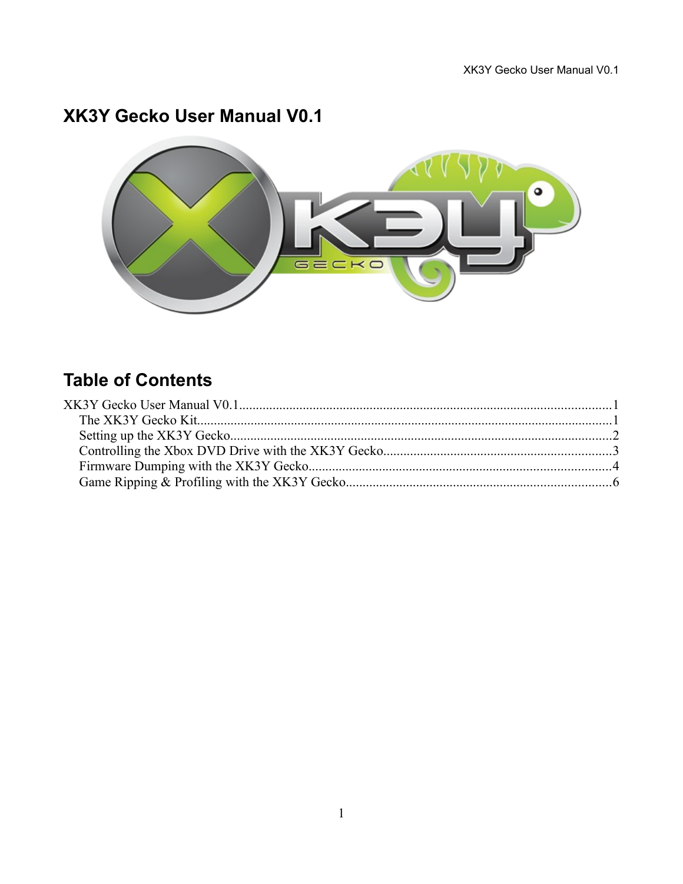# **XK3Y Gecko User Manual V0.1**



# **Table of Contents**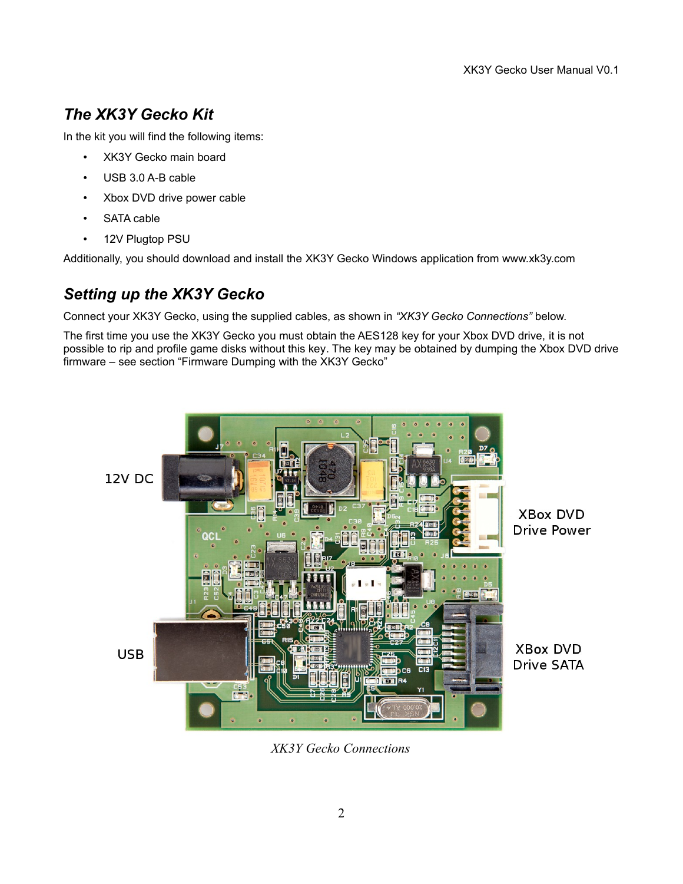## *The XK3Y Gecko Kit*

In the kit you will find the following items:

- XK3Y Gecko main board
- USB 3.0 A-B cable
- Xbox DVD drive power cable
- SATA cable
- 12V Plugtop PSU

Additionally, you should download and install the XK3Y Gecko Windows application from www.xk3y.com

#### *Setting up the XK3Y Gecko*

Connect your XK3Y Gecko, using the supplied cables, as shown in *"XK3Y Gecko Connections"* below.

The first time you use the XK3Y Gecko you must obtain the AES128 key for your Xbox DVD drive, it is not possible to rip and profile game disks without this key. The key may be obtained by dumping the Xbox DVD drive firmware – see section "Firmware Dumping with the XK3Y Gecko"



*XK3Y Gecko Connections*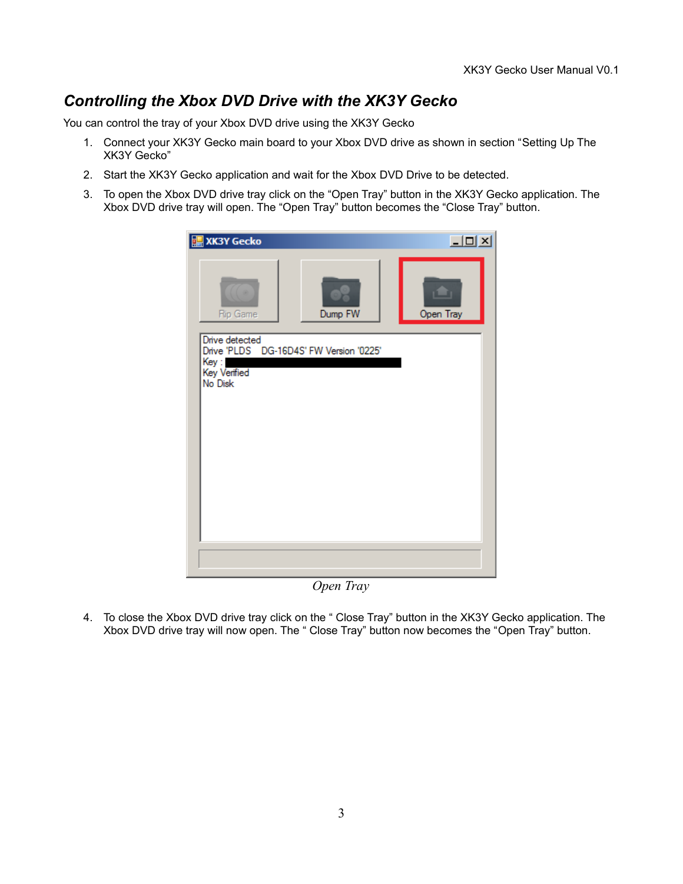### *Controlling the Xbox DVD Drive with the XK3Y Gecko*

You can control the tray of your Xbox DVD drive using the XK3Y Gecko

- 1. Connect your XK3Y Gecko main board to your Xbox DVD drive as shown in section "Setting Up The XK3Y Gecko"
- 2. Start the XK3Y Gecko application and wait for the Xbox DVD Drive to be detected.
- 3. To open the Xbox DVD drive tray click on the "Open Tray" button in the XK3Y Gecko application. The Xbox DVD drive tray will open. The "Open Tray" button becomes the "Close Tray" button.

| Open Tray<br>Dump FW<br><b>Rip Game</b><br>Drive detected<br>Drive 'PLDS DG-16D4S' FW Version '0225'<br>Key :<br>Key Verified<br>No Disk | XK3Y Gecko<br>匪 | $\Box$ |
|------------------------------------------------------------------------------------------------------------------------------------------|-----------------|--------|
|                                                                                                                                          |                 |        |
|                                                                                                                                          |                 |        |
|                                                                                                                                          |                 |        |
|                                                                                                                                          |                 |        |

*Open Tray*

4. To close the Xbox DVD drive tray click on the " Close Tray" button in the XK3Y Gecko application. The Xbox DVD drive tray will now open. The " Close Tray" button now becomes the "Open Tray" button.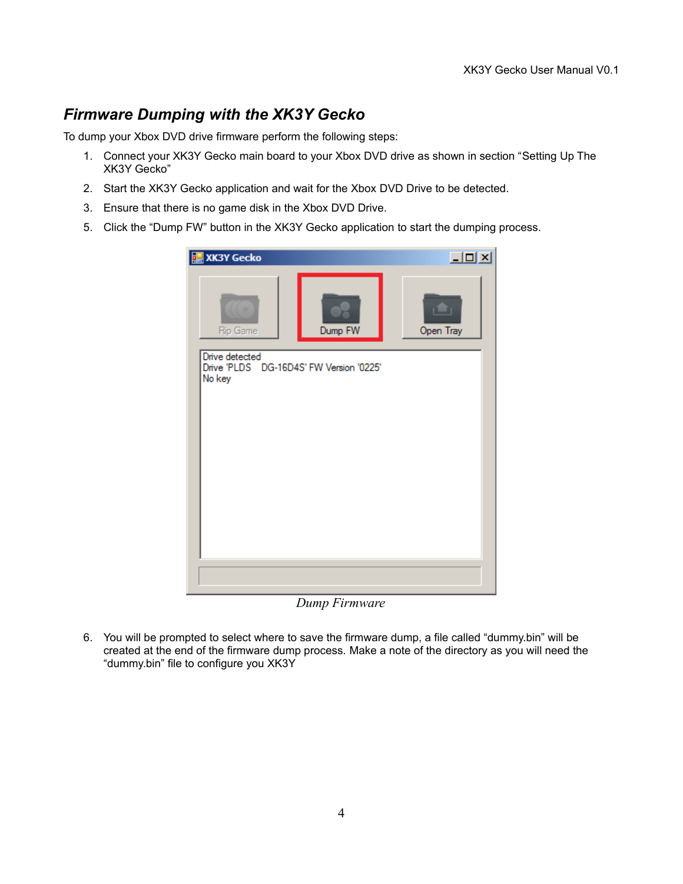### *Firmware Dumping with the XK3Y Gecko*

To dump your Xbox DVD drive firmware perform the following steps:

- 1. Connect your XK3Y Gecko main board to your Xbox DVD drive as shown in section "Setting Up The XK3Y Gecko"
- 2. Start the XK3Y Gecko application and wait for the Xbox DVD Drive to be detected.
- 3. Ensure that there is no game disk in the Xbox DVD Drive.
- 5. Click the "Dump FW" button in the XK3Y Gecko application to start the dumping process.



*Dump Firmware*

6. You will be prompted to select where to save the firmware dump, a file called "dummy.bin" will be created at the end of the firmware dump process. Make a note of the directory as you will need the "dummy.bin" file to configure you XK3Y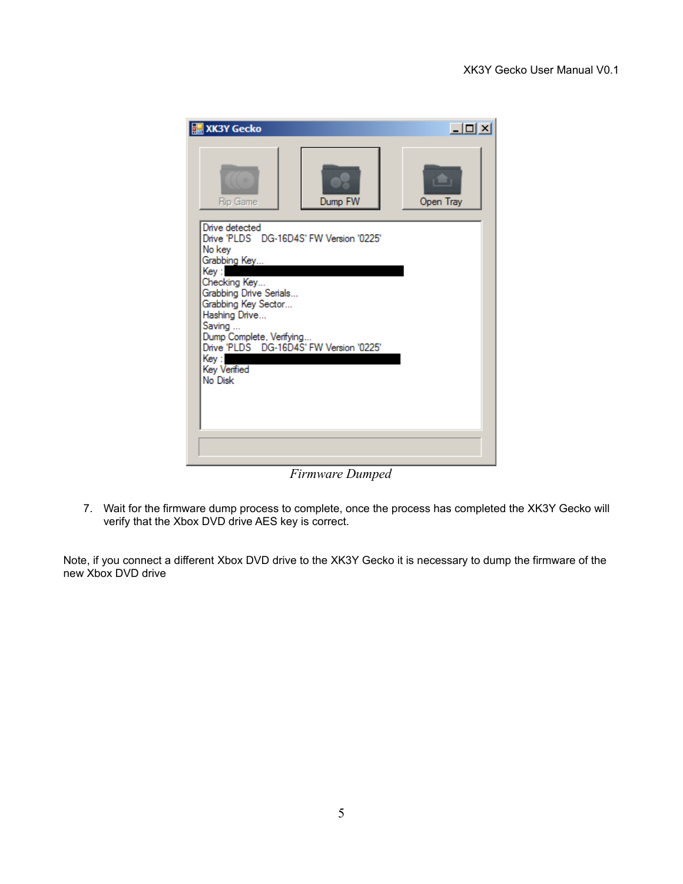| <b>XK3Y Gecko</b>                                                                                                                                                                                                                                                                                  | $ \Box$ $\times$ |
|----------------------------------------------------------------------------------------------------------------------------------------------------------------------------------------------------------------------------------------------------------------------------------------------------|------------------|
| Dump FW<br><b>Rip Game</b>                                                                                                                                                                                                                                                                         | Open Tray        |
| Drive detected<br>Drive 'PLDS DG-16D4S' FW Version '0225'<br>No key<br>Grabbing Key<br>Key :<br>Checking Key<br>Grabbing Drive Serials<br>Grabbing Key Sector<br>Hashing Drive<br>Saving<br>Dump Complete, Verifying<br>Drive 'PLDS DG-16D4S' FW Version '0225'<br>Key:<br>Key Verified<br>No Disk |                  |
|                                                                                                                                                                                                                                                                                                    |                  |

*Firmware Dumped*

7. Wait for the firmware dump process to complete, once the process has completed the XK3Y Gecko will verify that the Xbox DVD drive AES key is correct.

Note, if you connect a different Xbox DVD drive to the XK3Y Gecko it is necessary to dump the firmware of the new Xbox DVD drive